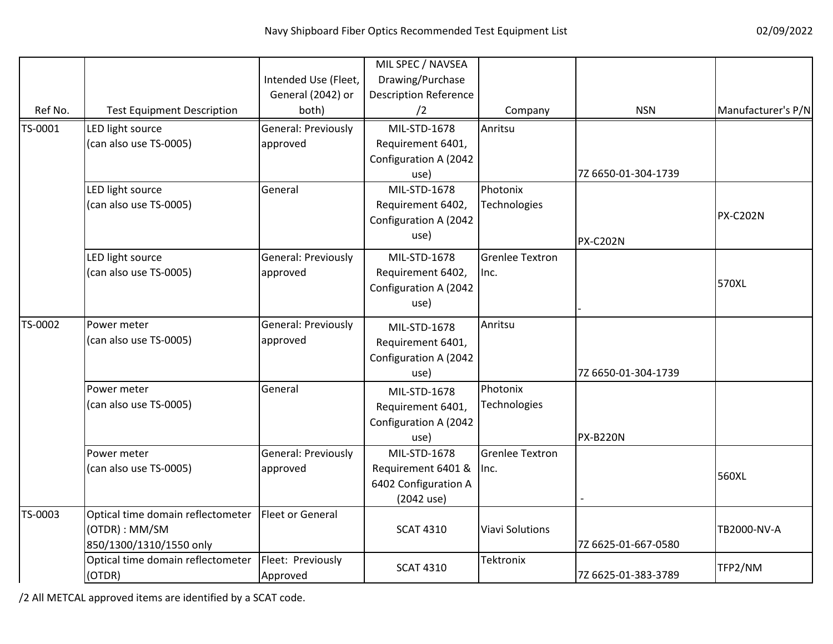|         |                                   |                      | MIL SPEC / NAVSEA            |                        |                     |                    |
|---------|-----------------------------------|----------------------|------------------------------|------------------------|---------------------|--------------------|
|         |                                   | Intended Use (Fleet, | Drawing/Purchase             |                        |                     |                    |
|         |                                   | General (2042) or    | <b>Description Reference</b> |                        |                     |                    |
| Ref No. | <b>Test Equipment Description</b> | both)                | /2                           | Company                | <b>NSN</b>          | Manufacturer's P/N |
| TS-0001 | LED light source                  | General: Previously  | MIL-STD-1678                 | Anritsu                |                     |                    |
|         | (can also use TS-0005)            | approved             | Requirement 6401,            |                        |                     |                    |
|         |                                   |                      | Configuration A (2042        |                        |                     |                    |
|         |                                   |                      | use)                         |                        | 7Z 6650-01-304-1739 |                    |
|         | LED light source                  | General              | MIL-STD-1678                 | Photonix               |                     |                    |
|         | (can also use TS-0005)            |                      | Requirement 6402,            | Technologies           |                     |                    |
|         |                                   |                      | Configuration A (2042        |                        |                     | <b>PX-C202N</b>    |
|         |                                   |                      | use)                         |                        | <b>PX-C202N</b>     |                    |
|         | LED light source                  | General: Previously  | MIL-STD-1678                 | <b>Grenlee Textron</b> |                     |                    |
|         | (can also use TS-0005)            | approved             | Requirement 6402,            | Inc.                   |                     |                    |
|         |                                   |                      | Configuration A (2042        |                        |                     | 570XL              |
|         |                                   |                      | use)                         |                        |                     |                    |
| TS-0002 | Power meter                       | General: Previously  | MIL-STD-1678                 | Anritsu                |                     |                    |
|         | (can also use TS-0005)            | approved             | Requirement 6401,            |                        |                     |                    |
|         |                                   |                      | Configuration A (2042        |                        |                     |                    |
|         |                                   |                      | use)                         |                        | 7Z 6650-01-304-1739 |                    |
|         | Power meter                       | General              | MIL-STD-1678                 | Photonix               |                     |                    |
|         | (can also use TS-0005)            |                      | Requirement 6401,            | Technologies           |                     |                    |
|         |                                   |                      | Configuration A (2042        |                        |                     |                    |
|         |                                   |                      | use)                         |                        | <b>PX-B220N</b>     |                    |
|         | Power meter                       | General: Previously  | MIL-STD-1678                 | <b>Grenlee Textron</b> |                     |                    |
|         | (can also use TS-0005)            | approved             | Requirement 6401 &           | Inc.                   |                     | 560XL              |
|         |                                   |                      | 6402 Configuration A         |                        |                     |                    |
|         |                                   |                      | (2042 use)                   |                        |                     |                    |
| TS-0003 | Optical time domain reflectometer | Fleet or General     |                              |                        |                     |                    |
|         | (OTDR): MM/SM                     |                      | <b>SCAT 4310</b>             | <b>Viavi Solutions</b> |                     | TB2000-NV-A        |
|         | 850/1300/1310/1550 only           |                      |                              |                        | 7Z 6625-01-667-0580 |                    |
|         | Optical time domain reflectometer | Fleet: Previously    | <b>SCAT 4310</b>             | <b>Tektronix</b>       |                     | TFP2/NM            |
|         | (OTDR)                            | Approved             |                              |                        | 7Z 6625-01-383-3789 |                    |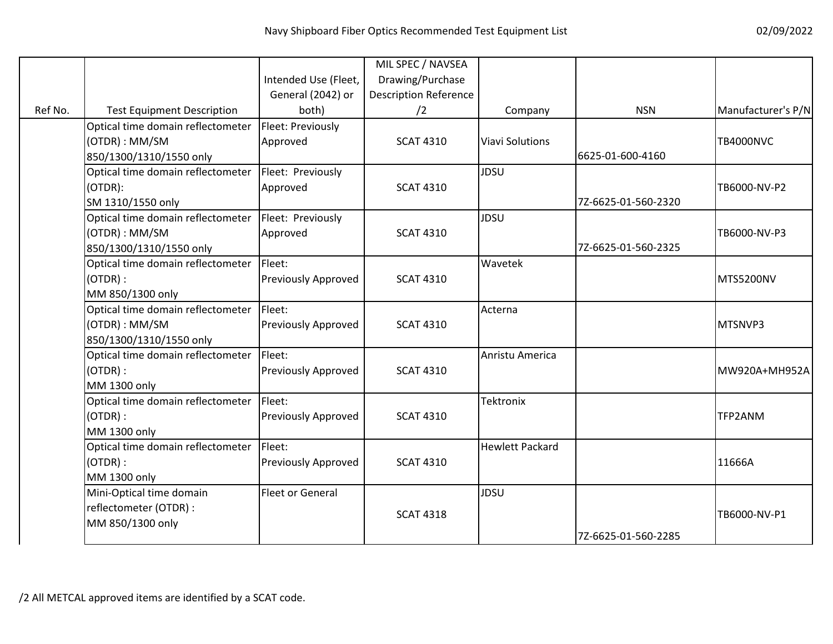|         |                                   |                            | MIL SPEC / NAVSEA            |                        |                     |                    |
|---------|-----------------------------------|----------------------------|------------------------------|------------------------|---------------------|--------------------|
|         |                                   | Intended Use (Fleet,       | Drawing/Purchase             |                        |                     |                    |
|         |                                   | General (2042) or          | <b>Description Reference</b> |                        |                     |                    |
| Ref No. | <b>Test Equipment Description</b> | both)                      | /2                           | Company                | <b>NSN</b>          | Manufacturer's P/N |
|         | Optical time domain reflectometer | Fleet: Previously          |                              |                        |                     |                    |
|         | (OTDR): MM/SM                     | Approved                   | <b>SCAT 4310</b>             | <b>Viavi Solutions</b> |                     | <b>TB4000NVC</b>   |
|         | 850/1300/1310/1550 only           |                            |                              |                        | 6625-01-600-4160    |                    |
|         | Optical time domain reflectometer | Fleet: Previously          |                              | <b>JDSU</b>            |                     |                    |
|         | (OTDR):                           | Approved                   | <b>SCAT 4310</b>             |                        |                     | TB6000-NV-P2       |
|         | SM 1310/1550 only                 |                            |                              |                        | 7Z-6625-01-560-2320 |                    |
|         | Optical time domain reflectometer | Fleet: Previously          |                              | <b>JDSU</b>            |                     |                    |
|         | (OTDR): MM/SM                     | Approved                   | <b>SCAT 4310</b>             |                        |                     | TB6000-NV-P3       |
|         | 850/1300/1310/1550 only           |                            |                              |                        | 7Z-6625-01-560-2325 |                    |
|         | Optical time domain reflectometer | Fleet:                     |                              | Wavetek                |                     |                    |
|         | (OTDR):                           | <b>Previously Approved</b> | <b>SCAT 4310</b>             |                        |                     | MTS5200NV          |
|         | MM 850/1300 only                  |                            |                              |                        |                     |                    |
|         | Optical time domain reflectometer | Fleet:                     |                              | Acterna                |                     |                    |
|         | (OTDR): MM/SM                     | <b>Previously Approved</b> | <b>SCAT 4310</b>             |                        |                     | MTSNVP3            |
|         | 850/1300/1310/1550 only           |                            |                              |                        |                     |                    |
|         | Optical time domain reflectometer | Fleet:                     |                              | Anristu America        |                     |                    |
|         | (OTDR):                           | <b>Previously Approved</b> | <b>SCAT 4310</b>             |                        |                     | MW920A+MH952A      |
|         | MM 1300 only                      |                            |                              |                        |                     |                    |
|         | Optical time domain reflectometer | Fleet:                     |                              | Tektronix              |                     |                    |
|         | (OTDR):                           | <b>Previously Approved</b> | <b>SCAT 4310</b>             |                        |                     | TFP2ANM            |
|         | MM 1300 only                      |                            |                              |                        |                     |                    |
|         | Optical time domain reflectometer | Fleet:                     |                              | <b>Hewlett Packard</b> |                     |                    |
|         | (OTDR):                           | <b>Previously Approved</b> | <b>SCAT 4310</b>             |                        |                     | 11666A             |
|         | MM 1300 only                      |                            |                              |                        |                     |                    |
|         | Mini-Optical time domain          | Fleet or General           |                              | JDSU                   |                     |                    |
|         | reflectometer (OTDR) :            |                            | <b>SCAT 4318</b>             |                        |                     | TB6000-NV-P1       |
|         | MM 850/1300 only                  |                            |                              |                        |                     |                    |
|         |                                   |                            |                              |                        | 7Z-6625-01-560-2285 |                    |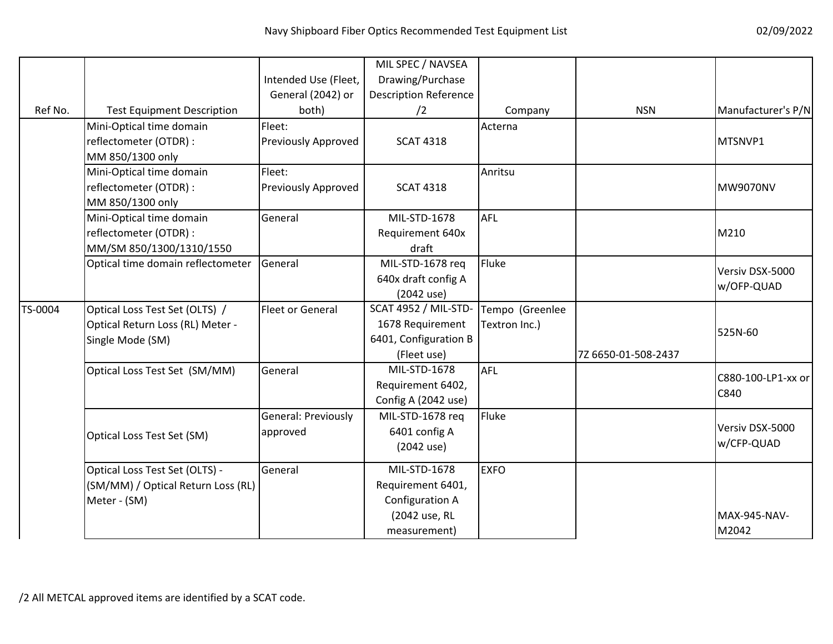|         |                                    |                            | MIL SPEC / NAVSEA            |                 |                     |                    |
|---------|------------------------------------|----------------------------|------------------------------|-----------------|---------------------|--------------------|
|         |                                    | Intended Use (Fleet,       | Drawing/Purchase             |                 |                     |                    |
|         |                                    | General (2042) or          | <b>Description Reference</b> |                 |                     |                    |
| Ref No. | <b>Test Equipment Description</b>  | both)                      | /2                           | Company         | <b>NSN</b>          | Manufacturer's P/N |
|         | Mini-Optical time domain           | Fleet:                     |                              | Acterna         |                     |                    |
|         | reflectometer (OTDR) :             | <b>Previously Approved</b> | <b>SCAT 4318</b>             |                 |                     | MTSNVP1            |
|         | MM 850/1300 only                   |                            |                              |                 |                     |                    |
|         | Mini-Optical time domain           | Fleet:                     |                              | Anritsu         |                     |                    |
|         | reflectometer (OTDR) :             | Previously Approved        | <b>SCAT 4318</b>             |                 |                     | <b>MW9070NV</b>    |
|         | MM 850/1300 only                   |                            |                              |                 |                     |                    |
|         | Mini-Optical time domain           | General                    | MIL-STD-1678                 | <b>AFL</b>      |                     |                    |
|         | reflectometer (OTDR) :             |                            | Requirement 640x             |                 |                     | M210               |
|         | MM/SM 850/1300/1310/1550           |                            | draft                        |                 |                     |                    |
|         | Optical time domain reflectometer  | General                    | MIL-STD-1678 req             | Fluke           |                     |                    |
|         |                                    |                            | 640x draft config A          |                 |                     | Versiv DSX-5000    |
|         |                                    |                            | (2042 use)                   |                 |                     | w/OFP-QUAD         |
| TS-0004 | Optical Loss Test Set (OLTS) /     | <b>Fleet or General</b>    | <b>SCAT 4952 / MIL-STD-</b>  | Tempo (Greenlee |                     |                    |
|         | Optical Return Loss (RL) Meter -   |                            | 1678 Requirement             | Textron Inc.)   |                     |                    |
|         | Single Mode (SM)                   |                            | 6401, Configuration B        |                 |                     | 525N-60            |
|         |                                    |                            | (Fleet use)                  |                 | 7Z 6650-01-508-2437 |                    |
|         | Optical Loss Test Set (SM/MM)      | General                    | MIL-STD-1678                 | <b>AFL</b>      |                     |                    |
|         |                                    |                            | Requirement 6402,            |                 |                     | C880-100-LP1-xx or |
|         |                                    |                            | Config A (2042 use)          |                 |                     | C840               |
|         |                                    | General: Previously        | MIL-STD-1678 req             | Fluke           |                     |                    |
|         | Optical Loss Test Set (SM)         | approved                   | 6401 config A                |                 |                     | Versiv DSX-5000    |
|         |                                    |                            | (2042 use)                   |                 |                     | w/CFP-QUAD         |
|         |                                    |                            |                              |                 |                     |                    |
|         | Optical Loss Test Set (OLTS) -     | General                    | MIL-STD-1678                 | <b>EXFO</b>     |                     |                    |
|         | (SM/MM) / Optical Return Loss (RL) |                            | Requirement 6401,            |                 |                     |                    |
|         | Meter - (SM)                       |                            | Configuration A              |                 |                     |                    |
|         |                                    |                            | (2042 use, RL                |                 |                     | MAX-945-NAV-       |
|         |                                    |                            | measurement)                 |                 |                     | M2042              |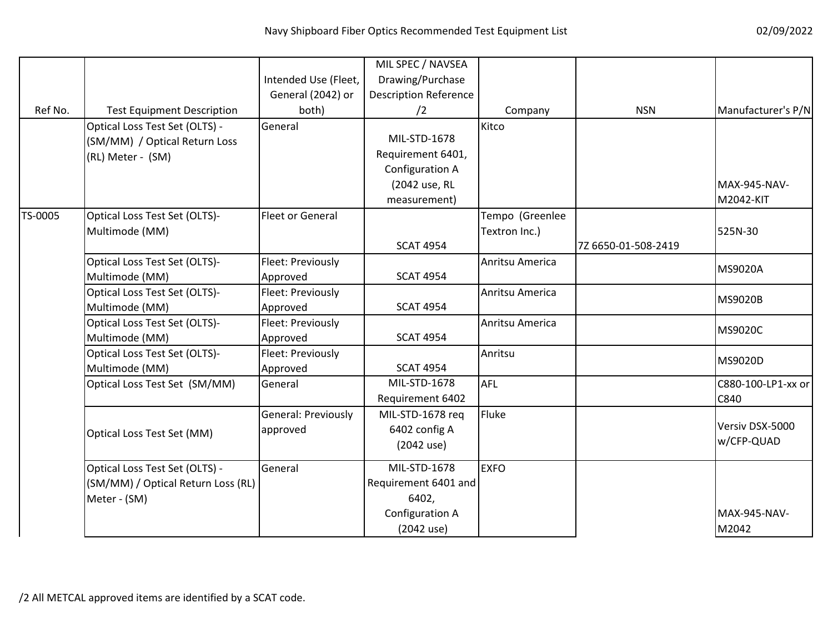|         |                                                                                      | Intended Use (Fleet,            | MIL SPEC / NAVSEA<br>Drawing/Purchase                                                 |                                  |                     |                               |
|---------|--------------------------------------------------------------------------------------|---------------------------------|---------------------------------------------------------------------------------------|----------------------------------|---------------------|-------------------------------|
| Ref No. | <b>Test Equipment Description</b>                                                    | General (2042) or<br>both)      | <b>Description Reference</b><br>/2                                                    | Company                          | <b>NSN</b>          | Manufacturer's P/N            |
|         | Optical Loss Test Set (OLTS) -<br>(SM/MM) / Optical Return Loss<br>(RL) Meter - (SM) | General                         | MIL-STD-1678<br>Requirement 6401,<br>Configuration A<br>(2042 use, RL<br>measurement) | Kitco                            |                     | MAX-945-NAV-<br>M2042-KIT     |
| TS-0005 | Optical Loss Test Set (OLTS)-<br>Multimode (MM)                                      | <b>Fleet or General</b>         | <b>SCAT 4954</b>                                                                      | Tempo (Greenlee<br>Textron Inc.) | 7Z 6650-01-508-2419 | 525N-30                       |
|         | Optical Loss Test Set (OLTS)-<br>Multimode (MM)                                      | Fleet: Previously<br>Approved   | <b>SCAT 4954</b>                                                                      | Anritsu America                  |                     | MS9020A                       |
|         | Optical Loss Test Set (OLTS)-<br>Multimode (MM)                                      | Fleet: Previously<br>Approved   | <b>SCAT 4954</b>                                                                      | Anritsu America                  |                     | <b>MS9020B</b>                |
|         | Optical Loss Test Set (OLTS)-<br>Multimode (MM)                                      | Fleet: Previously<br>Approved   | <b>SCAT 4954</b>                                                                      | Anritsu America                  |                     | <b>MS9020C</b>                |
|         | Optical Loss Test Set (OLTS)-<br>Multimode (MM)                                      | Fleet: Previously<br>Approved   | <b>SCAT 4954</b>                                                                      | Anritsu                          |                     | MS9020D                       |
|         | Optical Loss Test Set (SM/MM)                                                        | General                         | MIL-STD-1678<br>Requirement 6402                                                      | <b>AFL</b>                       |                     | C880-100-LP1-xx or<br>C840    |
|         | Optical Loss Test Set (MM)                                                           | General: Previously<br>approved | MIL-STD-1678 req<br>6402 config A<br>(2042 use)                                       | Fluke                            |                     | Versiv DSX-5000<br>w/CFP-QUAD |
|         | Optical Loss Test Set (OLTS) -<br>(SM/MM) / Optical Return Loss (RL)<br>Meter - (SM) | General                         | MIL-STD-1678<br>Requirement 6401 and<br>6402,<br>Configuration A<br>(2042 use)        | <b>EXFO</b>                      |                     | MAX-945-NAV-<br>M2042         |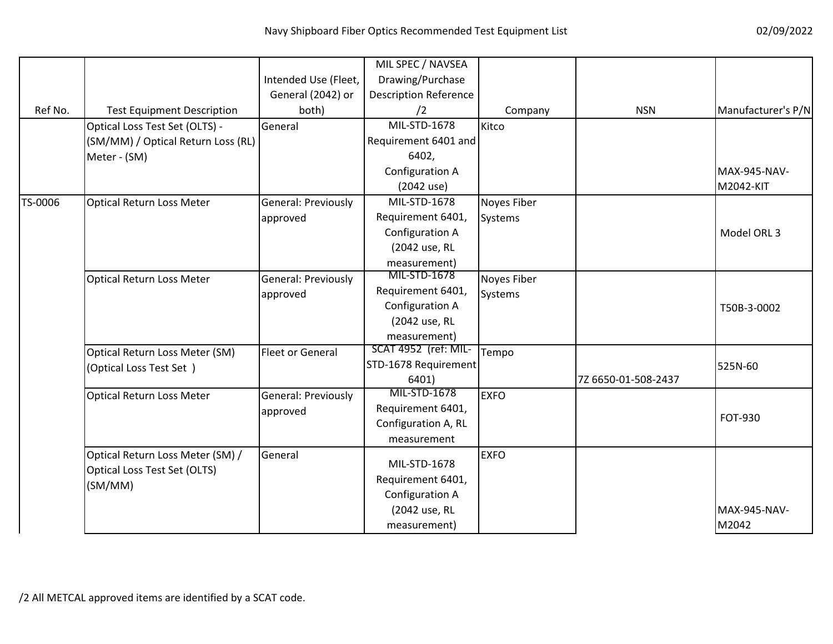|         |                                    |                         | MIL SPEC / NAVSEA            |             |                     |                     |
|---------|------------------------------------|-------------------------|------------------------------|-------------|---------------------|---------------------|
|         |                                    | Intended Use (Fleet,    | Drawing/Purchase             |             |                     |                     |
|         |                                    | General (2042) or       | <b>Description Reference</b> |             |                     |                     |
| Ref No. | <b>Test Equipment Description</b>  | both)                   | /2                           | Company     | <b>NSN</b>          | Manufacturer's P/N  |
|         | Optical Loss Test Set (OLTS) -     | General                 | MIL-STD-1678                 | Kitco       |                     |                     |
|         | (SM/MM) / Optical Return Loss (RL) |                         | Requirement 6401 and         |             |                     |                     |
|         | Meter - (SM)                       |                         | 6402,                        |             |                     |                     |
|         |                                    |                         | Configuration A              |             |                     | MAX-945-NAV-        |
|         |                                    |                         | (2042 use)                   |             |                     | M2042-KIT           |
| TS-0006 | Optical Return Loss Meter          | General: Previously     | MIL-STD-1678                 | Noyes Fiber |                     |                     |
|         |                                    | approved                | Requirement 6401,            | Systems     |                     |                     |
|         |                                    |                         | Configuration A              |             |                     | Model ORL 3         |
|         |                                    |                         | (2042 use, RL                |             |                     |                     |
|         |                                    |                         | measurement)                 |             |                     |                     |
|         | Optical Return Loss Meter          | General: Previously     | MIL-STD-1678                 | Noyes Fiber |                     |                     |
|         |                                    | approved                | Requirement 6401,            | Systems     |                     |                     |
|         |                                    |                         | Configuration A              |             |                     | T50B-3-0002         |
|         |                                    |                         | (2042 use, RL                |             |                     |                     |
|         |                                    |                         | measurement)                 |             |                     |                     |
|         | Optical Return Loss Meter (SM)     | <b>Fleet or General</b> | SCAT 4952 (ref: MIL-         | Tempo       |                     |                     |
|         | (Optical Loss Test Set)            |                         | STD-1678 Requirement         |             |                     | 525N-60             |
|         |                                    |                         | 6401)                        |             | 7Z 6650-01-508-2437 |                     |
|         | Optical Return Loss Meter          | General: Previously     | MIL-STD-1678                 | <b>EXFO</b> |                     |                     |
|         |                                    | approved                | Requirement 6401,            |             |                     | FOT-930             |
|         |                                    |                         | Configuration A, RL          |             |                     |                     |
|         |                                    |                         | measurement                  |             |                     |                     |
|         | Optical Return Loss Meter (SM) /   | General                 |                              | <b>EXFO</b> |                     |                     |
|         | Optical Loss Test Set (OLTS)       |                         | MIL-STD-1678                 |             |                     |                     |
|         | (SM/MM)                            |                         | Requirement 6401,            |             |                     |                     |
|         |                                    |                         | Configuration A              |             |                     |                     |
|         |                                    |                         | (2042 use, RL                |             |                     | <b>MAX-945-NAV-</b> |
|         |                                    |                         | measurement)                 |             |                     | M2042               |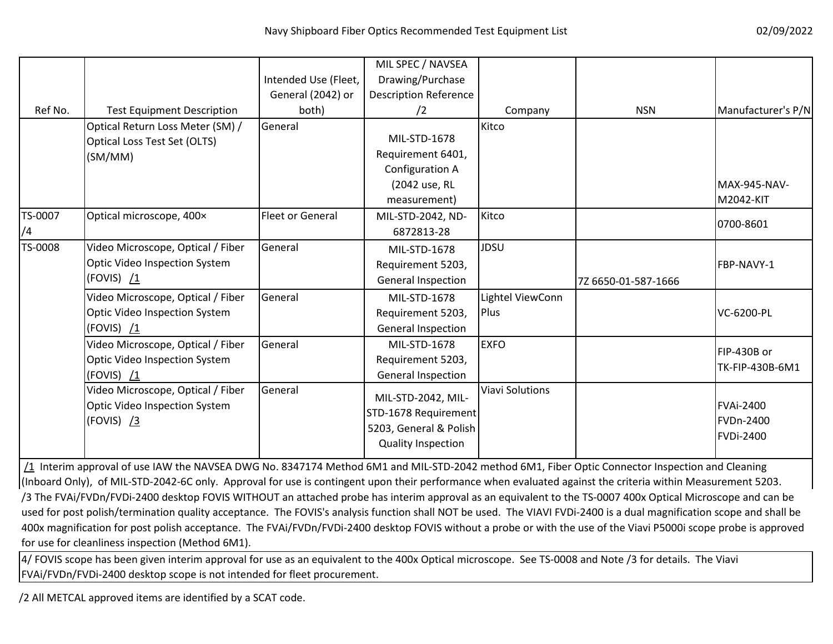|         |                                   |                         | MIL SPEC / NAVSEA            |                        |                     |                    |
|---------|-----------------------------------|-------------------------|------------------------------|------------------------|---------------------|--------------------|
|         |                                   | Intended Use (Fleet,    | Drawing/Purchase             |                        |                     |                    |
|         |                                   | General (2042) or       | <b>Description Reference</b> |                        |                     |                    |
| Ref No. | <b>Test Equipment Description</b> | both)                   | $\sqrt{2}$                   | Company                | <b>NSN</b>          | Manufacturer's P/N |
|         | Optical Return Loss Meter (SM) /  | General                 |                              | Kitco                  |                     |                    |
|         | Optical Loss Test Set (OLTS)      |                         | MIL-STD-1678                 |                        |                     |                    |
|         | (SM/MM)                           |                         | Requirement 6401,            |                        |                     |                    |
|         |                                   |                         | Configuration A              |                        |                     |                    |
|         |                                   |                         | (2042 use, RL                |                        |                     | MAX-945-NAV-       |
|         |                                   |                         | measurement)                 |                        |                     | M2042-KIT          |
| TS-0007 | Optical microscope, 400x          | <b>Fleet or General</b> | MIL-STD-2042, ND-            | Kitco                  |                     | 0700-8601          |
| /4      |                                   |                         | 6872813-28                   |                        |                     |                    |
| TS-0008 | Video Microscope, Optical / Fiber | General                 | MIL-STD-1678                 | JDSU                   |                     |                    |
|         | Optic Video Inspection System     |                         | Requirement 5203,            |                        |                     | FBP-NAVY-1         |
|         | (FOVIS) /1                        |                         | <b>General Inspection</b>    |                        | 7Z 6650-01-587-1666 |                    |
|         | Video Microscope, Optical / Fiber | General                 | MIL-STD-1678                 | Lightel ViewConn       |                     |                    |
|         | Optic Video Inspection System     |                         | Requirement 5203,            | Plus                   |                     | VC-6200-PL         |
|         | (FOVIS) $\sqrt{1}$                |                         | General Inspection           |                        |                     |                    |
|         | Video Microscope, Optical / Fiber | General                 | MIL-STD-1678                 | <b>EXFO</b>            |                     |                    |
|         | Optic Video Inspection System     |                         | Requirement 5203,            |                        |                     | FIP-430B or        |
|         | (FOVIS) /1                        |                         | General Inspection           |                        |                     | TK-FIP-430B-6M1    |
|         | Video Microscope, Optical / Fiber | General                 |                              | <b>Viavi Solutions</b> |                     |                    |
|         | Optic Video Inspection System     |                         | MIL-STD-2042, MIL-           |                        |                     | <b>FVAi-2400</b>   |
|         | (FOVIS) /3                        |                         | STD-1678 Requirement         |                        |                     | FVDn-2400          |
|         |                                   |                         | 5203, General & Polish       |                        |                     | <b>FVDi-2400</b>   |
|         |                                   |                         | <b>Quality Inspection</b>    |                        |                     |                    |
|         |                                   |                         |                              |                        |                     |                    |

/1 Interim approval of use IAW the NAVSEA DWG No. 8347174 Method 6M1 and MIL-STD-2042 method 6M1, Fiber Optic Connector Inspection and Cleaning (Inboard Only), of MIL-STD-2042-6C only. Approval for use is contingent upon their performance when evaluated against the criteria within Measurement 5203. /3 The FVAi/FVDn/FVDi-2400 desktop FOVIS WITHOUT an attached probe has interim approval as an equivalent to the TS-0007 400x Optical Microscope and can be used for post polish/termination quality acceptance. The FOVIS's analysis function shall NOT be used. The VIAVI FVDi-2400 is a dual magnification scope and shall be 400x magnification for post polish acceptance. The FVAi/FVDn/FVDi-2400 desktop FOVIS without a probe or with the use of the Viavi P5000i scope probe is approved for use for cleanliness inspection (Method 6M1).

 FVAi/FVDn/FVDi-2400 desktop scope is not intended for fleet procurement.4/ FOVIS scope has been given interim approval for use as an equivalent to the 400x Optical microscope. See TS-0008 and Note /3 for details. The Viavi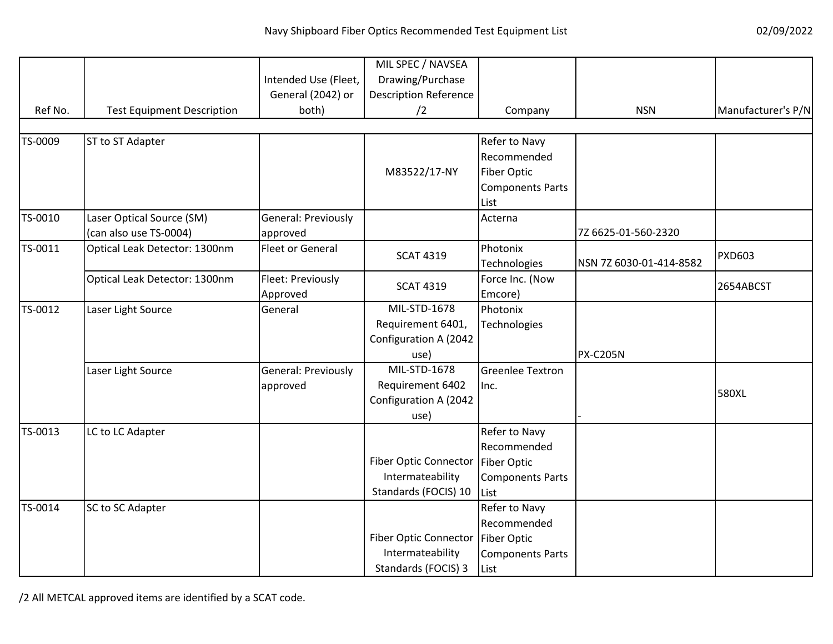|         |                                   |                         | MIL SPEC / NAVSEA            |                         |                         |                    |
|---------|-----------------------------------|-------------------------|------------------------------|-------------------------|-------------------------|--------------------|
|         |                                   | Intended Use (Fleet,    | Drawing/Purchase             |                         |                         |                    |
|         |                                   | General (2042) or       | <b>Description Reference</b> |                         |                         |                    |
| Ref No. | <b>Test Equipment Description</b> | both)                   | /2                           | Company                 | <b>NSN</b>              | Manufacturer's P/N |
|         |                                   |                         |                              |                         |                         |                    |
| TS-0009 | ST to ST Adapter                  |                         |                              | Refer to Navy           |                         |                    |
|         |                                   |                         |                              | Recommended             |                         |                    |
|         |                                   |                         | M83522/17-NY                 | <b>Fiber Optic</b>      |                         |                    |
|         |                                   |                         |                              | <b>Components Parts</b> |                         |                    |
|         |                                   |                         |                              | List                    |                         |                    |
| TS-0010 | Laser Optical Source (SM)         | General: Previously     |                              | Acterna                 |                         |                    |
|         | (can also use TS-0004)            | approved                |                              |                         | 7Z 6625-01-560-2320     |                    |
| TS-0011 | Optical Leak Detector: 1300nm     | <b>Fleet or General</b> | <b>SCAT 4319</b>             | Photonix                |                         | <b>PXD603</b>      |
|         |                                   |                         |                              | <b>Technologies</b>     | NSN 7Z 6030-01-414-8582 |                    |
|         | Optical Leak Detector: 1300nm     | Fleet: Previously       |                              | Force Inc. (Now         |                         |                    |
|         |                                   | Approved                | <b>SCAT 4319</b>             | Emcore)                 |                         | 2654ABCST          |
| TS-0012 | Laser Light Source                | General                 | MIL-STD-1678                 | Photonix                |                         |                    |
|         |                                   |                         | Requirement 6401,            | <b>Technologies</b>     |                         |                    |
|         |                                   |                         | Configuration A (2042        |                         |                         |                    |
|         |                                   |                         | use)                         |                         | <b>PX-C205N</b>         |                    |
|         | Laser Light Source                | General: Previously     | MIL-STD-1678                 | <b>Greenlee Textron</b> |                         |                    |
|         |                                   | approved                | Requirement 6402             | Inc.                    |                         |                    |
|         |                                   |                         | Configuration A (2042        |                         |                         | 580XL              |
|         |                                   |                         | use)                         |                         |                         |                    |
| TS-0013 | LC to LC Adapter                  |                         |                              | Refer to Navy           |                         |                    |
|         |                                   |                         |                              | Recommended             |                         |                    |
|         |                                   |                         | Fiber Optic Connector        | <b>Fiber Optic</b>      |                         |                    |
|         |                                   |                         | Intermateability             | <b>Components Parts</b> |                         |                    |
|         |                                   |                         | Standards (FOCIS) 10         | List                    |                         |                    |
| TS-0014 | SC to SC Adapter                  |                         |                              | Refer to Navy           |                         |                    |
|         |                                   |                         |                              | Recommended             |                         |                    |
|         |                                   |                         | <b>Fiber Optic Connector</b> | <b>Fiber Optic</b>      |                         |                    |
|         |                                   |                         | Intermateability             | <b>Components Parts</b> |                         |                    |
|         |                                   |                         | Standards (FOCIS) 3          | List                    |                         |                    |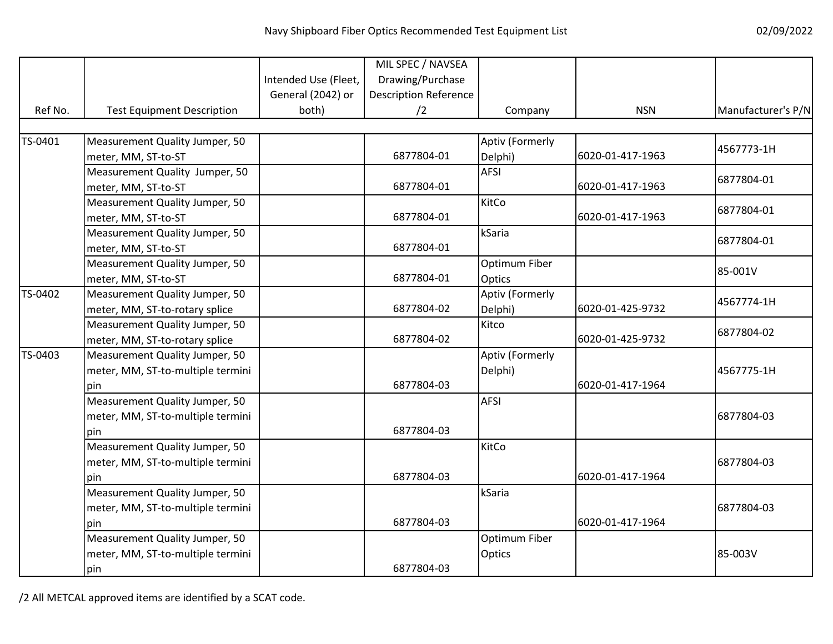|         |                                   |                      | MIL SPEC / NAVSEA            |                 |                  |                    |
|---------|-----------------------------------|----------------------|------------------------------|-----------------|------------------|--------------------|
|         |                                   | Intended Use (Fleet, | Drawing/Purchase             |                 |                  |                    |
|         |                                   | General (2042) or    | <b>Description Reference</b> |                 |                  |                    |
| Ref No. | <b>Test Equipment Description</b> | both)                | /2                           | Company         | <b>NSN</b>       | Manufacturer's P/N |
|         |                                   |                      |                              |                 |                  |                    |
| TS-0401 | Measurement Quality Jumper, 50    |                      |                              | Aptiv (Formerly |                  | 4567773-1H         |
|         | meter, MM, ST-to-ST               |                      | 6877804-01                   | Delphi)         | 6020-01-417-1963 |                    |
|         | Measurement Quality Jumper, 50    |                      |                              | <b>AFSI</b>     |                  | 6877804-01         |
|         | meter, MM, ST-to-ST               |                      | 6877804-01                   |                 | 6020-01-417-1963 |                    |
|         | Measurement Quality Jumper, 50    |                      |                              | KitCo           |                  | 6877804-01         |
|         | meter, MM, ST-to-ST               |                      | 6877804-01                   |                 | 6020-01-417-1963 |                    |
|         | Measurement Quality Jumper, 50    |                      |                              | kSaria          |                  | 6877804-01         |
|         | meter, MM, ST-to-ST               |                      | 6877804-01                   |                 |                  |                    |
|         | Measurement Quality Jumper, 50    |                      |                              | Optimum Fiber   |                  | 85-001V            |
|         | meter, MM, ST-to-ST               |                      | 6877804-01                   | Optics          |                  |                    |
| TS-0402 | Measurement Quality Jumper, 50    |                      |                              | Aptiv (Formerly |                  | 4567774-1H         |
|         | meter, MM, ST-to-rotary splice    |                      | 6877804-02                   | Delphi)         | 6020-01-425-9732 |                    |
|         | Measurement Quality Jumper, 50    |                      |                              | Kitco           |                  | 6877804-02         |
|         | meter, MM, ST-to-rotary splice    |                      | 6877804-02                   |                 | 6020-01-425-9732 |                    |
| TS-0403 | Measurement Quality Jumper, 50    |                      |                              | Aptiv (Formerly |                  |                    |
|         | meter, MM, ST-to-multiple termini |                      |                              | Delphi)         |                  | 4567775-1H         |
|         | pin                               |                      | 6877804-03                   |                 | 6020-01-417-1964 |                    |
|         | Measurement Quality Jumper, 50    |                      |                              | <b>AFSI</b>     |                  |                    |
|         | meter, MM, ST-to-multiple termini |                      |                              |                 |                  | 6877804-03         |
|         | pin                               |                      | 6877804-03                   |                 |                  |                    |
|         | Measurement Quality Jumper, 50    |                      |                              | KitCo           |                  |                    |
|         | meter, MM, ST-to-multiple termini |                      |                              |                 |                  | 6877804-03         |
|         | pin                               |                      | 6877804-03                   |                 | 6020-01-417-1964 |                    |
|         | Measurement Quality Jumper, 50    |                      |                              | kSaria          |                  |                    |
|         | meter, MM, ST-to-multiple termini |                      |                              |                 |                  | 6877804-03         |
|         | pin                               |                      | 6877804-03                   |                 | 6020-01-417-1964 |                    |
|         | Measurement Quality Jumper, 50    |                      |                              | Optimum Fiber   |                  |                    |
|         | meter, MM, ST-to-multiple termini |                      |                              | Optics          |                  | 85-003V            |
|         | pin                               |                      | 6877804-03                   |                 |                  |                    |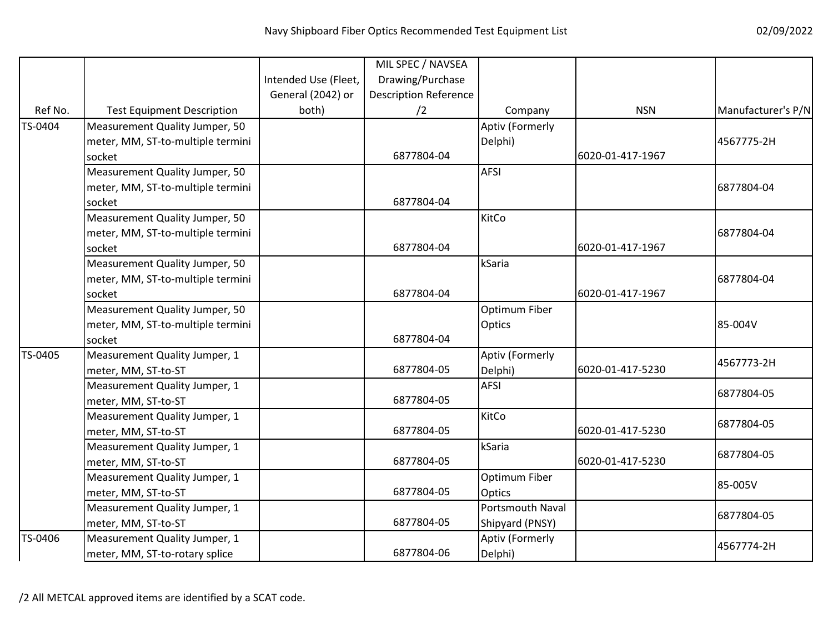|         |                                   |                      | MIL SPEC / NAVSEA            |                  |                  |                    |
|---------|-----------------------------------|----------------------|------------------------------|------------------|------------------|--------------------|
|         |                                   | Intended Use (Fleet, | Drawing/Purchase             |                  |                  |                    |
|         |                                   | General (2042) or    | <b>Description Reference</b> |                  |                  |                    |
| Ref No. | <b>Test Equipment Description</b> | both)                | /2                           | Company          | <b>NSN</b>       | Manufacturer's P/N |
| TS-0404 | Measurement Quality Jumper, 50    |                      |                              | Aptiv (Formerly  |                  |                    |
|         | meter, MM, ST-to-multiple termini |                      |                              | Delphi)          |                  | 4567775-2H         |
|         | socket                            |                      | 6877804-04                   |                  | 6020-01-417-1967 |                    |
|         | Measurement Quality Jumper, 50    |                      |                              | <b>AFSI</b>      |                  |                    |
|         | meter, MM, ST-to-multiple termini |                      |                              |                  |                  | 6877804-04         |
|         | socket                            |                      | 6877804-04                   |                  |                  |                    |
|         | Measurement Quality Jumper, 50    |                      |                              | KitCo            |                  |                    |
|         | meter, MM, ST-to-multiple termini |                      |                              |                  |                  | 6877804-04         |
|         | socket                            |                      | 6877804-04                   |                  | 6020-01-417-1967 |                    |
|         | Measurement Quality Jumper, 50    |                      |                              | kSaria           |                  |                    |
|         | meter, MM, ST-to-multiple termini |                      |                              |                  |                  | 6877804-04         |
|         | socket                            |                      | 6877804-04                   |                  | 6020-01-417-1967 |                    |
|         | Measurement Quality Jumper, 50    |                      |                              | Optimum Fiber    |                  |                    |
|         | meter, MM, ST-to-multiple termini |                      |                              | Optics           |                  | 85-004V            |
|         | socket                            |                      | 6877804-04                   |                  |                  |                    |
| TS-0405 | Measurement Quality Jumper, 1     |                      |                              | Aptiv (Formerly  |                  | 4567773-2H         |
|         | meter, MM, ST-to-ST               |                      | 6877804-05                   | Delphi)          | 6020-01-417-5230 |                    |
|         | Measurement Quality Jumper, 1     |                      |                              | <b>AFSI</b>      |                  | 6877804-05         |
|         | meter, MM, ST-to-ST               |                      | 6877804-05                   |                  |                  |                    |
|         | Measurement Quality Jumper, 1     |                      |                              | KitCo            |                  | 6877804-05         |
|         | meter, MM, ST-to-ST               |                      | 6877804-05                   |                  | 6020-01-417-5230 |                    |
|         | Measurement Quality Jumper, 1     |                      |                              | kSaria           |                  | 6877804-05         |
|         | meter, MM, ST-to-ST               |                      | 6877804-05                   |                  | 6020-01-417-5230 |                    |
|         | Measurement Quality Jumper, 1     |                      |                              | Optimum Fiber    |                  | 85-005V            |
|         | meter, MM, ST-to-ST               |                      | 6877804-05                   | Optics           |                  |                    |
|         | Measurement Quality Jumper, 1     |                      |                              | Portsmouth Naval |                  | 6877804-05         |
|         | meter, MM, ST-to-ST               |                      | 6877804-05                   | Shipyard (PNSY)  |                  |                    |
| TS-0406 | Measurement Quality Jumper, 1     |                      |                              | Aptiv (Formerly  |                  | 4567774-2H         |
|         | meter, MM, ST-to-rotary splice    |                      | 6877804-06                   | Delphi)          |                  |                    |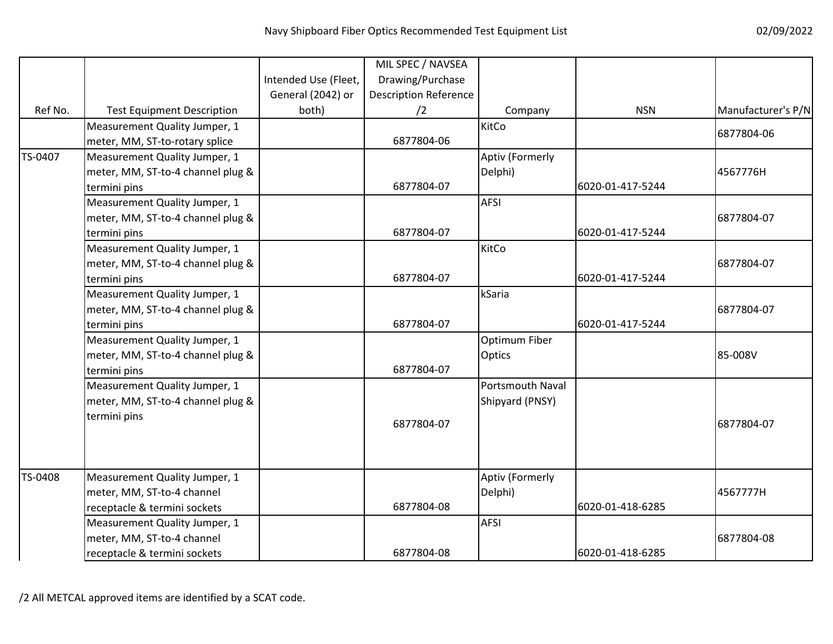|         |                                   |                      | MIL SPEC / NAVSEA            |                      |                  |                    |
|---------|-----------------------------------|----------------------|------------------------------|----------------------|------------------|--------------------|
|         |                                   | Intended Use (Fleet, | Drawing/Purchase             |                      |                  |                    |
|         |                                   | General (2042) or    | <b>Description Reference</b> |                      |                  |                    |
| Ref No. | <b>Test Equipment Description</b> | both)                | /2                           | Company              | <b>NSN</b>       | Manufacturer's P/N |
|         | Measurement Quality Jumper, 1     |                      |                              | KitCo                |                  |                    |
|         | meter, MM, ST-to-rotary splice    |                      | 6877804-06                   |                      |                  | 6877804-06         |
| TS-0407 | Measurement Quality Jumper, 1     |                      |                              | Aptiv (Formerly      |                  |                    |
|         | meter, MM, ST-to-4 channel plug & |                      |                              | Delphi)              |                  | 4567776H           |
|         | termini pins                      |                      | 6877804-07                   |                      | 6020-01-417-5244 |                    |
|         | Measurement Quality Jumper, 1     |                      |                              | <b>AFSI</b>          |                  |                    |
|         | meter, MM, ST-to-4 channel plug & |                      |                              |                      |                  | 6877804-07         |
|         | termini pins                      |                      | 6877804-07                   |                      | 6020-01-417-5244 |                    |
|         | Measurement Quality Jumper, 1     |                      |                              | KitCo                |                  |                    |
|         | meter, MM, ST-to-4 channel plug & |                      |                              |                      |                  | 6877804-07         |
|         | termini pins                      |                      | 6877804-07                   |                      | 6020-01-417-5244 |                    |
|         | Measurement Quality Jumper, 1     |                      |                              | kSaria               |                  |                    |
|         | meter, MM, ST-to-4 channel plug & |                      |                              |                      |                  | 6877804-07         |
|         | termini pins                      |                      | 6877804-07                   |                      | 6020-01-417-5244 |                    |
|         | Measurement Quality Jumper, 1     |                      |                              | <b>Optimum Fiber</b> |                  |                    |
|         | meter, MM, ST-to-4 channel plug & |                      |                              | <b>Optics</b>        |                  | 85-008V            |
|         | termini pins                      |                      | 6877804-07                   |                      |                  |                    |
|         | Measurement Quality Jumper, 1     |                      |                              | Portsmouth Naval     |                  |                    |
|         | meter, MM, ST-to-4 channel plug & |                      |                              | Shipyard (PNSY)      |                  |                    |
|         | termini pins                      |                      | 6877804-07                   |                      |                  | 6877804-07         |
|         |                                   |                      |                              |                      |                  |                    |
|         |                                   |                      |                              |                      |                  |                    |
| TS-0408 | Measurement Quality Jumper, 1     |                      |                              | Aptiv (Formerly      |                  |                    |
|         | meter, MM, ST-to-4 channel        |                      |                              | Delphi)              |                  | 4567777H           |
|         | receptacle & termini sockets      |                      | 6877804-08                   |                      | 6020-01-418-6285 |                    |
|         | Measurement Quality Jumper, 1     |                      |                              | <b>AFSI</b>          |                  |                    |
|         | meter, MM, ST-to-4 channel        |                      |                              |                      |                  | 6877804-08         |
|         | receptacle & termini sockets      |                      | 6877804-08                   |                      | 6020-01-418-6285 |                    |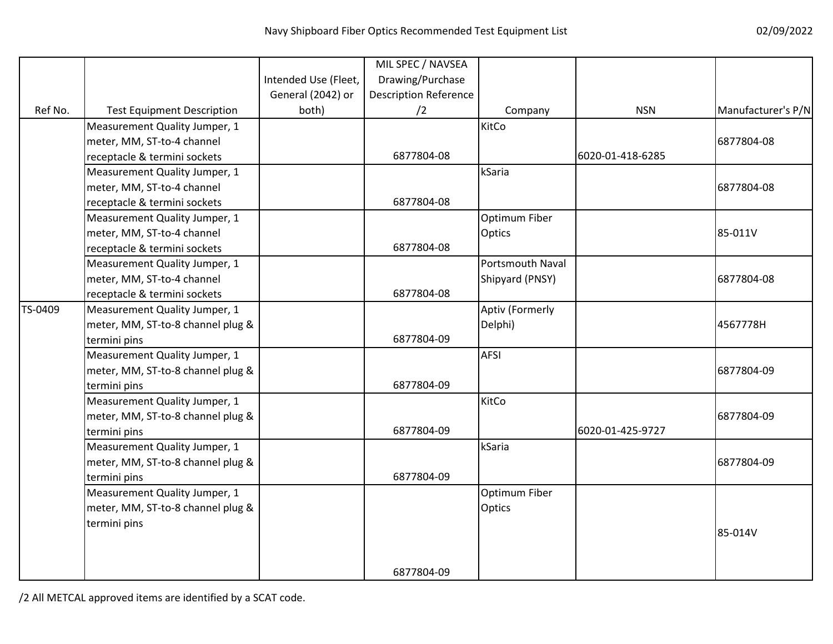|         |                                   |                      | MIL SPEC / NAVSEA            |                  |                  |                    |
|---------|-----------------------------------|----------------------|------------------------------|------------------|------------------|--------------------|
|         |                                   | Intended Use (Fleet, | Drawing/Purchase             |                  |                  |                    |
|         |                                   | General (2042) or    | <b>Description Reference</b> |                  |                  |                    |
| Ref No. | <b>Test Equipment Description</b> | both)                | /2                           | Company          | <b>NSN</b>       | Manufacturer's P/N |
|         | Measurement Quality Jumper, 1     |                      |                              | KitCo            |                  |                    |
|         | meter, MM, ST-to-4 channel        |                      |                              |                  |                  | 6877804-08         |
|         | receptacle & termini sockets      |                      | 6877804-08                   |                  | 6020-01-418-6285 |                    |
|         | Measurement Quality Jumper, 1     |                      |                              | kSaria           |                  |                    |
|         | meter, MM, ST-to-4 channel        |                      |                              |                  |                  | 6877804-08         |
|         | receptacle & termini sockets      |                      | 6877804-08                   |                  |                  |                    |
|         | Measurement Quality Jumper, 1     |                      |                              | Optimum Fiber    |                  |                    |
|         | meter, MM, ST-to-4 channel        |                      |                              | Optics           |                  | 85-011V            |
|         | receptacle & termini sockets      |                      | 6877804-08                   |                  |                  |                    |
|         | Measurement Quality Jumper, 1     |                      |                              | Portsmouth Naval |                  |                    |
|         | meter, MM, ST-to-4 channel        |                      |                              | Shipyard (PNSY)  |                  | 6877804-08         |
|         | receptacle & termini sockets      |                      | 6877804-08                   |                  |                  |                    |
| TS-0409 | Measurement Quality Jumper, 1     |                      |                              | Aptiv (Formerly  |                  |                    |
|         | meter, MM, ST-to-8 channel plug & |                      |                              | Delphi)          |                  | 4567778H           |
|         | termini pins                      |                      | 6877804-09                   |                  |                  |                    |
|         | Measurement Quality Jumper, 1     |                      |                              | <b>AFSI</b>      |                  |                    |
|         | meter, MM, ST-to-8 channel plug & |                      |                              |                  |                  | 6877804-09         |
|         | termini pins                      |                      | 6877804-09                   |                  |                  |                    |
|         | Measurement Quality Jumper, 1     |                      |                              | KitCo            |                  |                    |
|         | meter, MM, ST-to-8 channel plug & |                      |                              |                  |                  | 6877804-09         |
|         | termini pins                      |                      | 6877804-09                   |                  | 6020-01-425-9727 |                    |
|         | Measurement Quality Jumper, 1     |                      |                              | kSaria           |                  |                    |
|         | meter, MM, ST-to-8 channel plug & |                      |                              |                  |                  | 6877804-09         |
|         | termini pins                      |                      | 6877804-09                   |                  |                  |                    |
|         | Measurement Quality Jumper, 1     |                      |                              | Optimum Fiber    |                  |                    |
|         | meter, MM, ST-to-8 channel plug & |                      |                              | Optics           |                  |                    |
|         | termini pins                      |                      |                              |                  |                  | 85-014V            |
|         |                                   |                      |                              |                  |                  |                    |
|         |                                   |                      |                              |                  |                  |                    |
|         |                                   |                      | 6877804-09                   |                  |                  |                    |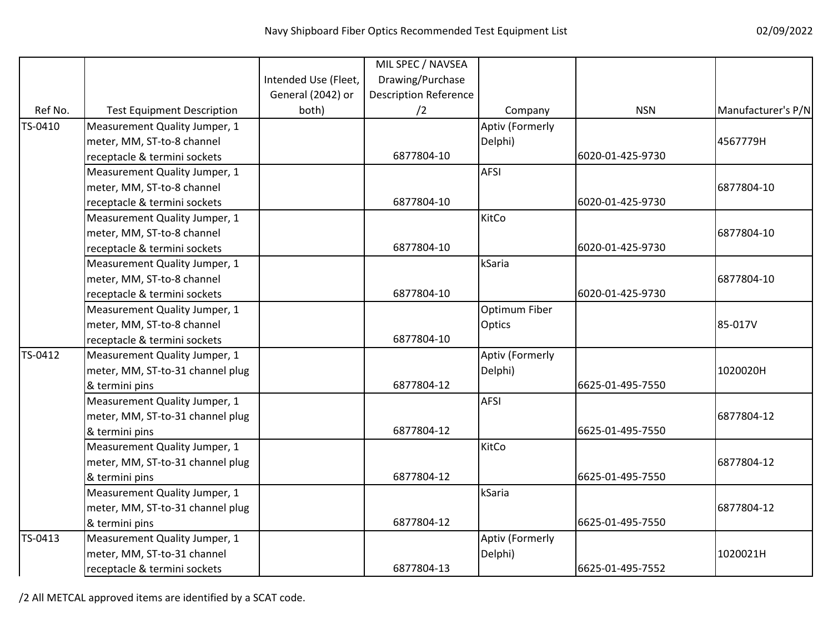|         |                                   |                      | MIL SPEC / NAVSEA            |                 |                  |                    |
|---------|-----------------------------------|----------------------|------------------------------|-----------------|------------------|--------------------|
|         |                                   | Intended Use (Fleet, | Drawing/Purchase             |                 |                  |                    |
|         |                                   | General (2042) or    | <b>Description Reference</b> |                 |                  |                    |
| Ref No. | <b>Test Equipment Description</b> | both)                | /2                           | Company         | <b>NSN</b>       | Manufacturer's P/N |
| TS-0410 | Measurement Quality Jumper, 1     |                      |                              | Aptiv (Formerly |                  |                    |
|         | meter, MM, ST-to-8 channel        |                      |                              | Delphi)         |                  | 4567779H           |
|         | receptacle & termini sockets      |                      | 6877804-10                   |                 | 6020-01-425-9730 |                    |
|         | Measurement Quality Jumper, 1     |                      |                              | <b>AFSI</b>     |                  |                    |
|         | meter, MM, ST-to-8 channel        |                      |                              |                 |                  | 6877804-10         |
|         | receptacle & termini sockets      |                      | 6877804-10                   |                 | 6020-01-425-9730 |                    |
|         | Measurement Quality Jumper, 1     |                      |                              | KitCo           |                  |                    |
|         | meter, MM, ST-to-8 channel        |                      |                              |                 |                  | 6877804-10         |
|         | receptacle & termini sockets      |                      | 6877804-10                   |                 | 6020-01-425-9730 |                    |
|         | Measurement Quality Jumper, 1     |                      |                              | kSaria          |                  |                    |
|         | meter, MM, ST-to-8 channel        |                      |                              |                 |                  | 6877804-10         |
|         | receptacle & termini sockets      |                      | 6877804-10                   |                 | 6020-01-425-9730 |                    |
|         | Measurement Quality Jumper, 1     |                      |                              | Optimum Fiber   |                  |                    |
|         | meter, MM, ST-to-8 channel        |                      |                              | Optics          |                  | 85-017V            |
|         | receptacle & termini sockets      |                      | 6877804-10                   |                 |                  |                    |
| TS-0412 | Measurement Quality Jumper, 1     |                      |                              | Aptiv (Formerly |                  |                    |
|         | meter, MM, ST-to-31 channel plug  |                      |                              | Delphi)         |                  | 1020020H           |
|         | & termini pins                    |                      | 6877804-12                   |                 | 6625-01-495-7550 |                    |
|         | Measurement Quality Jumper, 1     |                      |                              | <b>AFSI</b>     |                  |                    |
|         | meter, MM, ST-to-31 channel plug  |                      |                              |                 |                  | 6877804-12         |
|         | & termini pins                    |                      | 6877804-12                   |                 | 6625-01-495-7550 |                    |
|         | Measurement Quality Jumper, 1     |                      |                              | KitCo           |                  |                    |
|         | meter, MM, ST-to-31 channel plug  |                      |                              |                 |                  | 6877804-12         |
|         | & termini pins                    |                      | 6877804-12                   |                 | 6625-01-495-7550 |                    |
|         | Measurement Quality Jumper, 1     |                      |                              | kSaria          |                  |                    |
|         | meter, MM, ST-to-31 channel plug  |                      |                              |                 |                  | 6877804-12         |
|         | & termini pins                    |                      | 6877804-12                   |                 | 6625-01-495-7550 |                    |
| TS-0413 | Measurement Quality Jumper, 1     |                      |                              | Aptiv (Formerly |                  |                    |
|         | meter, MM, ST-to-31 channel       |                      |                              | Delphi)         |                  | 1020021H           |
|         | receptacle & termini sockets      |                      | 6877804-13                   |                 | 6625-01-495-7552 |                    |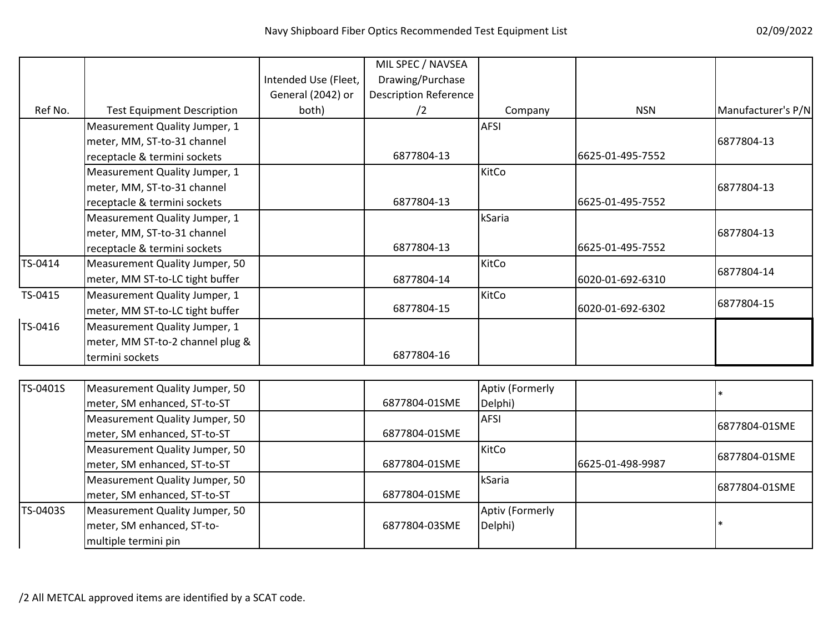|          |                                   |                      | MIL SPEC / NAVSEA            |                 |                  |                    |
|----------|-----------------------------------|----------------------|------------------------------|-----------------|------------------|--------------------|
|          |                                   | Intended Use (Fleet, | Drawing/Purchase             |                 |                  |                    |
|          |                                   | General (2042) or    | <b>Description Reference</b> |                 |                  |                    |
| Ref No.  | <b>Test Equipment Description</b> | both)                | /2                           | Company         | <b>NSN</b>       | Manufacturer's P/N |
|          | Measurement Quality Jumper, 1     |                      |                              | <b>AFSI</b>     |                  |                    |
|          | meter, MM, ST-to-31 channel       |                      |                              |                 |                  | 6877804-13         |
|          | receptacle & termini sockets      |                      | 6877804-13                   |                 | 6625-01-495-7552 |                    |
|          | Measurement Quality Jumper, 1     |                      |                              | KitCo           |                  |                    |
|          | meter, MM, ST-to-31 channel       |                      |                              |                 |                  | 6877804-13         |
|          | receptacle & termini sockets      |                      | 6877804-13                   |                 | 6625-01-495-7552 |                    |
|          | Measurement Quality Jumper, 1     |                      |                              | kSaria          |                  |                    |
|          | meter, MM, ST-to-31 channel       |                      |                              |                 |                  | 6877804-13         |
|          | receptacle & termini sockets      |                      | 6877804-13                   |                 | 6625-01-495-7552 |                    |
| TS-0414  | Measurement Quality Jumper, 50    |                      |                              | KitCo           |                  |                    |
|          | meter, MM ST-to-LC tight buffer   |                      | 6877804-14                   |                 | 6020-01-692-6310 | 6877804-14         |
| TS-0415  | Measurement Quality Jumper, 1     |                      |                              | KitCo           |                  |                    |
|          | meter, MM ST-to-LC tight buffer   |                      | 6877804-15                   |                 | 6020-01-692-6302 | 6877804-15         |
| TS-0416  | Measurement Quality Jumper, 1     |                      |                              |                 |                  |                    |
|          | meter, MM ST-to-2 channel plug &  |                      |                              |                 |                  |                    |
|          | termini sockets                   |                      | 6877804-16                   |                 |                  |                    |
|          |                                   |                      |                              |                 |                  |                    |
| TS-0401S | Measurement Quality Jumper, 50    |                      |                              | Aptiv (Formerly |                  | $\ast$             |
|          | meter, SM enhanced, ST-to-ST      |                      | 6877804-01SME                | Delphi)         |                  |                    |
|          | Measurement Quality Jumper, 50    |                      |                              | <b>AFSI</b>     |                  | 6877804-01SME      |
|          | meter, SM enhanced, ST-to-ST      |                      | 6877804-01SME                |                 |                  |                    |
|          | Measurement Quality Jumper, 50    |                      |                              | KitCo           |                  | 6877804-01SME      |
|          | meter, SM enhanced, ST-to-ST      |                      | 6877804-01SME                |                 | 6625-01-498-9987 |                    |
|          | Measurement Quality Jumper, 50    |                      |                              | kSaria          |                  | 6877804-01SME      |
|          | meter, SM enhanced, ST-to-ST      |                      | 6877804-01SME                |                 |                  |                    |
| TS-0403S | Measurement Quality Jumper, 50    |                      |                              | Aptiv (Formerly |                  |                    |
|          | meter, SM enhanced, ST-to-        |                      | 6877804-03SME                | Delphi)         |                  | $\ast$             |
|          | multiple termini pin              |                      |                              |                 |                  |                    |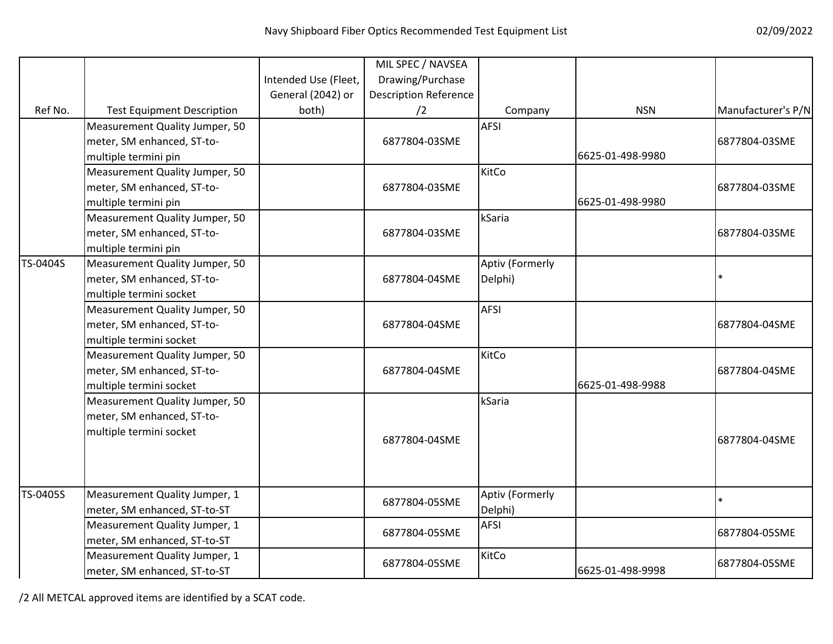|          |                                   |                      | MIL SPEC / NAVSEA            |                 |                  |                    |
|----------|-----------------------------------|----------------------|------------------------------|-----------------|------------------|--------------------|
|          |                                   | Intended Use (Fleet, | Drawing/Purchase             |                 |                  |                    |
|          |                                   | General (2042) or    | <b>Description Reference</b> |                 |                  |                    |
| Ref No.  | <b>Test Equipment Description</b> | both)                | /2                           | Company         | <b>NSN</b>       | Manufacturer's P/N |
|          | Measurement Quality Jumper, 50    |                      |                              | <b>AFSI</b>     |                  |                    |
|          | meter, SM enhanced, ST-to-        |                      | 6877804-03SME                |                 |                  | 6877804-03SME      |
|          | multiple termini pin              |                      |                              |                 | 6625-01-498-9980 |                    |
|          | Measurement Quality Jumper, 50    |                      |                              | KitCo           |                  |                    |
|          | meter, SM enhanced, ST-to-        |                      | 6877804-03SME                |                 |                  | 6877804-03SME      |
|          | multiple termini pin              |                      |                              |                 | 6625-01-498-9980 |                    |
|          | Measurement Quality Jumper, 50    |                      |                              | kSaria          |                  |                    |
|          | meter, SM enhanced, ST-to-        |                      | 6877804-03SME                |                 |                  | 6877804-03SME      |
|          | multiple termini pin              |                      |                              |                 |                  |                    |
| TS-0404S | Measurement Quality Jumper, 50    |                      |                              | Aptiv (Formerly |                  |                    |
|          | meter, SM enhanced, ST-to-        |                      | 6877804-04SME                | Delphi)         |                  |                    |
|          | multiple termini socket           |                      |                              |                 |                  |                    |
|          | Measurement Quality Jumper, 50    |                      |                              | <b>AFSI</b>     |                  |                    |
|          | meter, SM enhanced, ST-to-        |                      | 6877804-04SME                |                 |                  | 6877804-04SME      |
|          | multiple termini socket           |                      |                              |                 |                  |                    |
|          | Measurement Quality Jumper, 50    |                      |                              | KitCo           |                  |                    |
|          | meter, SM enhanced, ST-to-        |                      | 6877804-04SME                |                 |                  | 6877804-04SME      |
|          | multiple termini socket           |                      |                              |                 | 6625-01-498-9988 |                    |
|          | Measurement Quality Jumper, 50    |                      |                              | kSaria          |                  |                    |
|          | meter, SM enhanced, ST-to-        |                      |                              |                 |                  |                    |
|          | multiple termini socket           |                      | 6877804-04SME                |                 |                  | 6877804-04SME      |
|          |                                   |                      |                              |                 |                  |                    |
|          |                                   |                      |                              |                 |                  |                    |
|          |                                   |                      |                              |                 |                  |                    |
| TS-0405S | Measurement Quality Jumper, 1     |                      | 6877804-05SME                | Aptiv (Formerly |                  | $\ast$             |
|          | meter, SM enhanced, ST-to-ST      |                      |                              | Delphi)         |                  |                    |
|          | Measurement Quality Jumper, 1     |                      | 6877804-05SME                | <b>AFSI</b>     |                  | 6877804-05SME      |
|          | meter, SM enhanced, ST-to-ST      |                      |                              |                 |                  |                    |
|          | Measurement Quality Jumper, 1     |                      | 6877804-05SME                | KitCo           |                  | 6877804-05SME      |
|          | meter, SM enhanced, ST-to-ST      |                      |                              |                 | 6625-01-498-9998 |                    |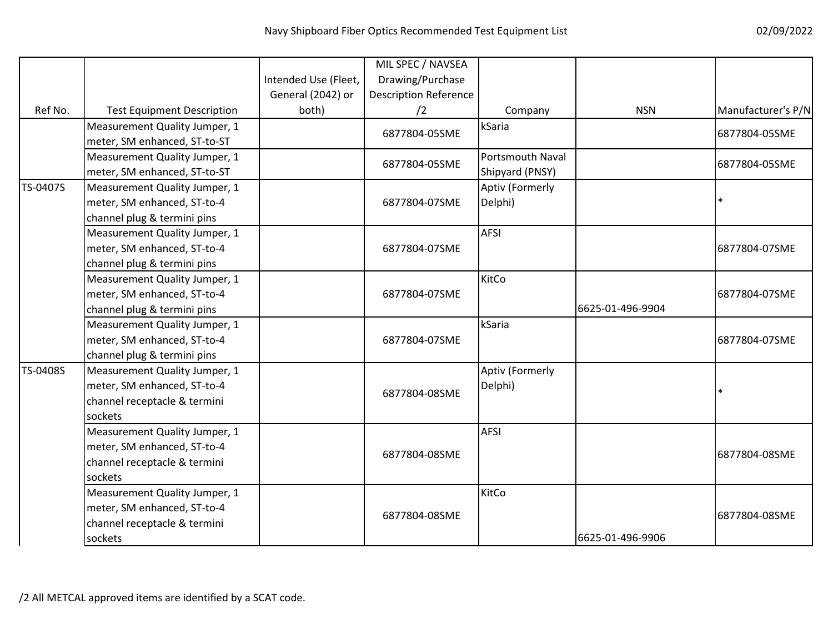|          |                                   |                      | MIL SPEC / NAVSEA            |                         |                  |                    |
|----------|-----------------------------------|----------------------|------------------------------|-------------------------|------------------|--------------------|
|          |                                   | Intended Use (Fleet, | Drawing/Purchase             |                         |                  |                    |
|          |                                   | General (2042) or    | <b>Description Reference</b> |                         |                  |                    |
| Ref No.  | <b>Test Equipment Description</b> | both)                | /2                           | Company                 | <b>NSN</b>       | Manufacturer's P/N |
|          | Measurement Quality Jumper, 1     |                      | 6877804-05SME                | kSaria                  |                  | 6877804-05SME      |
|          | meter, SM enhanced, ST-to-ST      |                      |                              |                         |                  |                    |
|          | Measurement Quality Jumper, 1     |                      | 6877804-05SME                | <b>Portsmouth Naval</b> |                  | 6877804-05SME      |
|          | meter, SM enhanced, ST-to-ST      |                      |                              | Shipyard (PNSY)         |                  |                    |
| TS-0407S | Measurement Quality Jumper, 1     |                      |                              | Aptiv (Formerly         |                  |                    |
|          | meter, SM enhanced, ST-to-4       |                      | 6877804-07SME                | Delphi)                 |                  |                    |
|          | channel plug & termini pins       |                      |                              |                         |                  |                    |
|          | Measurement Quality Jumper, 1     |                      |                              | <b>AFSI</b>             |                  |                    |
|          | meter, SM enhanced, ST-to-4       |                      | 6877804-07SME                |                         |                  | 6877804-07SME      |
|          | channel plug & termini pins       |                      |                              |                         |                  |                    |
|          | Measurement Quality Jumper, 1     |                      |                              | KitCo                   |                  |                    |
|          | meter, SM enhanced, ST-to-4       |                      | 6877804-07SME                |                         |                  | 6877804-07SME      |
|          | channel plug & termini pins       |                      |                              |                         | 6625-01-496-9904 |                    |
|          | Measurement Quality Jumper, 1     |                      |                              | kSaria                  |                  |                    |
|          | meter, SM enhanced, ST-to-4       |                      | 6877804-07SME                |                         |                  | 6877804-07SME      |
|          | channel plug & termini pins       |                      |                              |                         |                  |                    |
| TS-0408S | Measurement Quality Jumper, 1     |                      |                              | Aptiv (Formerly         |                  |                    |
|          | meter, SM enhanced, ST-to-4       |                      | 6877804-08SME                | Delphi)                 |                  |                    |
|          | channel receptacle & termini      |                      |                              |                         |                  |                    |
|          | sockets                           |                      |                              |                         |                  |                    |
|          | Measurement Quality Jumper, 1     |                      |                              | <b>AFSI</b>             |                  |                    |
|          | meter, SM enhanced, ST-to-4       |                      |                              |                         |                  |                    |
|          | channel receptacle & termini      |                      | 6877804-08SME                |                         |                  | 6877804-08SME      |
|          | sockets                           |                      |                              |                         |                  |                    |
|          | Measurement Quality Jumper, 1     |                      |                              | KitCo                   |                  |                    |
|          | meter, SM enhanced, ST-to-4       |                      |                              |                         |                  |                    |
|          | channel receptacle & termini      |                      | 6877804-08SME                |                         |                  | 6877804-08SME      |
|          | sockets                           |                      |                              |                         | 6625-01-496-9906 |                    |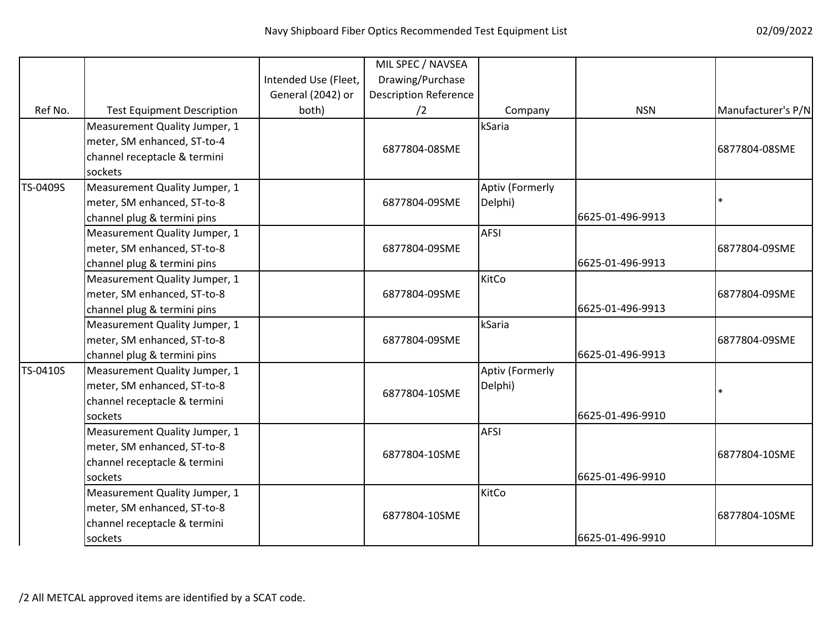|          |                                                                                                         |                      | MIL SPEC / NAVSEA            |                            |                  |                    |
|----------|---------------------------------------------------------------------------------------------------------|----------------------|------------------------------|----------------------------|------------------|--------------------|
|          |                                                                                                         | Intended Use (Fleet, | Drawing/Purchase             |                            |                  |                    |
|          |                                                                                                         | General (2042) or    | <b>Description Reference</b> |                            |                  |                    |
| Ref No.  | <b>Test Equipment Description</b>                                                                       | both)                | /2                           | Company                    | <b>NSN</b>       | Manufacturer's P/N |
|          | Measurement Quality Jumper, 1<br>meter, SM enhanced, ST-to-4<br>channel receptacle & termini<br>sockets |                      | 6877804-08SME                | kSaria                     |                  | 6877804-08SME      |
| TS-0409S | Measurement Quality Jumper, 1<br>meter, SM enhanced, ST-to-8<br>channel plug & termini pins             |                      | 6877804-09SME                | Aptiv (Formerly<br>Delphi) | 6625-01-496-9913 |                    |
|          | Measurement Quality Jumper, 1<br>meter, SM enhanced, ST-to-8<br>channel plug & termini pins             |                      | 6877804-09SME                | <b>AFSI</b>                | 6625-01-496-9913 | 6877804-09SME      |
|          | Measurement Quality Jumper, 1<br>meter, SM enhanced, ST-to-8<br>channel plug & termini pins             |                      | 6877804-09SME                | KitCo                      | 6625-01-496-9913 | 6877804-09SME      |
|          | Measurement Quality Jumper, 1<br>meter, SM enhanced, ST-to-8<br>channel plug & termini pins             |                      | 6877804-09SME                | kSaria                     | 6625-01-496-9913 | 6877804-09SME      |
| TS-0410S | Measurement Quality Jumper, 1<br>meter, SM enhanced, ST-to-8<br>channel receptacle & termini<br>sockets |                      | 6877804-10SME                | Aptiv (Formerly<br>Delphi) | 6625-01-496-9910 |                    |
|          | Measurement Quality Jumper, 1<br>meter, SM enhanced, ST-to-8<br>channel receptacle & termini<br>sockets |                      | 6877804-10SME                | <b>AFSI</b>                | 6625-01-496-9910 | 6877804-10SME      |
|          | Measurement Quality Jumper, 1<br>meter, SM enhanced, ST-to-8<br>channel receptacle & termini<br>sockets |                      | 6877804-10SME                | KitCo                      | 6625-01-496-9910 | 6877804-10SME      |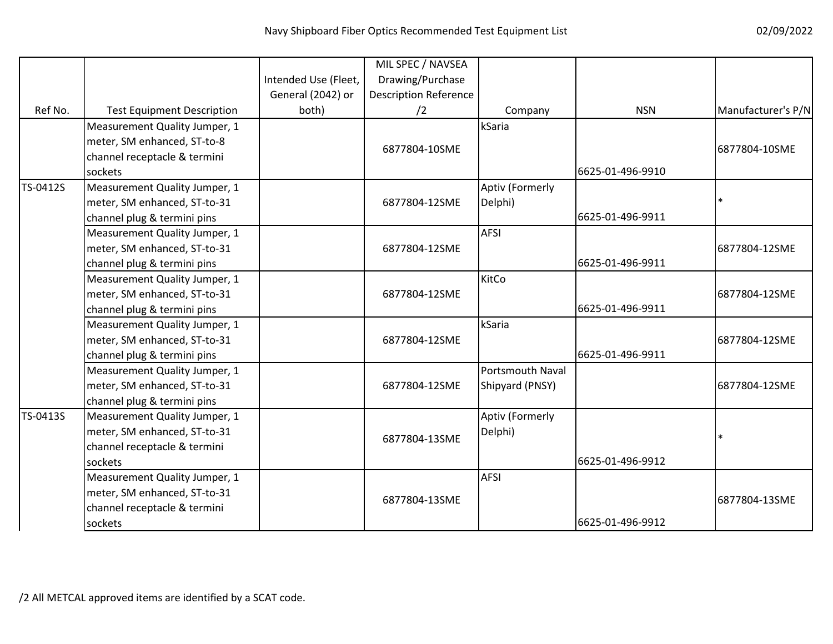|          |                                   |                      | MIL SPEC / NAVSEA            |                         |                  |                    |
|----------|-----------------------------------|----------------------|------------------------------|-------------------------|------------------|--------------------|
|          |                                   | Intended Use (Fleet, | Drawing/Purchase             |                         |                  |                    |
|          |                                   | General (2042) or    | <b>Description Reference</b> |                         |                  |                    |
| Ref No.  | <b>Test Equipment Description</b> | both)                | /2                           | Company                 | <b>NSN</b>       | Manufacturer's P/N |
|          | Measurement Quality Jumper, 1     |                      |                              | kSaria                  |                  |                    |
|          | meter, SM enhanced, ST-to-8       |                      |                              |                         |                  |                    |
|          | channel receptacle & termini      |                      | 6877804-10SME                |                         |                  | 6877804-10SME      |
|          | sockets                           |                      |                              |                         | 6625-01-496-9910 |                    |
| TS-0412S | Measurement Quality Jumper, 1     |                      |                              | Aptiv (Formerly         |                  |                    |
|          | meter, SM enhanced, ST-to-31      |                      | 6877804-12SME                | Delphi)                 |                  | $\ast$             |
|          | channel plug & termini pins       |                      |                              |                         | 6625-01-496-9911 |                    |
|          | Measurement Quality Jumper, 1     |                      |                              | <b>AFSI</b>             |                  |                    |
|          | meter, SM enhanced, ST-to-31      |                      | 6877804-12SME                |                         |                  | 6877804-12SME      |
|          | channel plug & termini pins       |                      |                              |                         | 6625-01-496-9911 |                    |
|          | Measurement Quality Jumper, 1     |                      |                              | KitCo                   |                  |                    |
|          | meter, SM enhanced, ST-to-31      |                      | 6877804-12SME                |                         |                  | 6877804-12SME      |
|          | channel plug & termini pins       |                      |                              |                         | 6625-01-496-9911 |                    |
|          | Measurement Quality Jumper, 1     |                      |                              | kSaria                  |                  |                    |
|          | meter, SM enhanced, ST-to-31      |                      | 6877804-12SME                |                         |                  | 6877804-12SME      |
|          | channel plug & termini pins       |                      |                              |                         | 6625-01-496-9911 |                    |
|          | Measurement Quality Jumper, 1     |                      |                              | <b>Portsmouth Naval</b> |                  |                    |
|          | meter, SM enhanced, ST-to-31      |                      | 6877804-12SME                | Shipyard (PNSY)         |                  | 6877804-12SME      |
|          | channel plug & termini pins       |                      |                              |                         |                  |                    |
| TS-0413S | Measurement Quality Jumper, 1     |                      |                              | Aptiv (Formerly         |                  |                    |
|          | meter, SM enhanced, ST-to-31      |                      | 6877804-13SME                | Delphi)                 |                  | $\ast$             |
|          | channel receptacle & termini      |                      |                              |                         |                  |                    |
|          | sockets                           |                      |                              |                         | 6625-01-496-9912 |                    |
|          | Measurement Quality Jumper, 1     |                      |                              | <b>AFSI</b>             |                  |                    |
|          | meter, SM enhanced, ST-to-31      |                      | 6877804-13SME                |                         |                  | 6877804-13SME      |
|          | channel receptacle & termini      |                      |                              |                         |                  |                    |
|          | sockets                           |                      |                              |                         | 6625-01-496-9912 |                    |